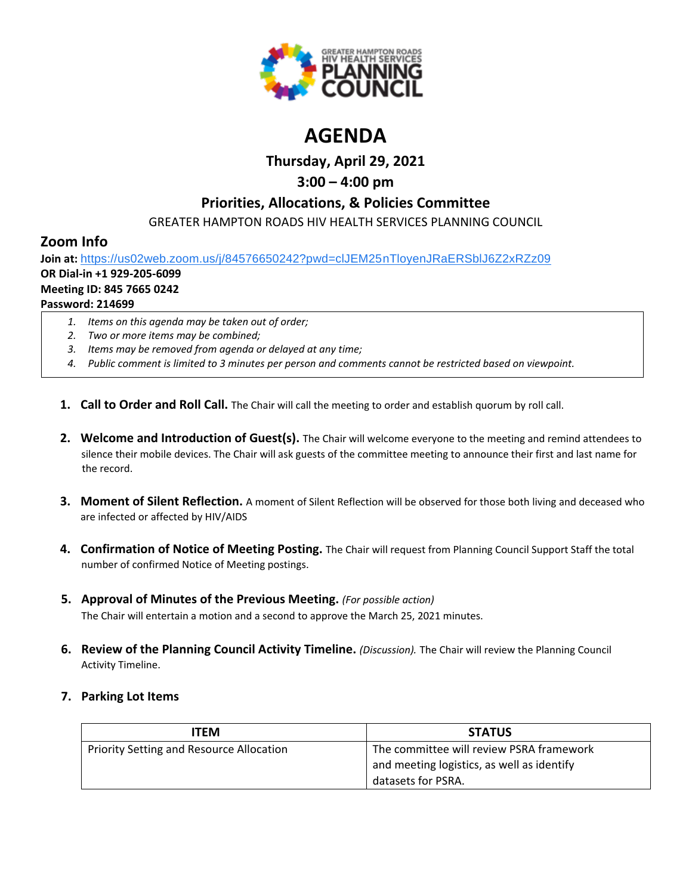

# **AGENDA**

**Thursday, April 29, 2021**

# **3:00 – 4:00 pm**

# **Priorities, Allocations, & Policies Committee**

GREATER HAMPTON ROADS HIV HEALTH SERVICES PLANNING COUNCIL

# **Zoom Info**

**Join at:** [https://us02web.zoom.us/j/84576650242?pwd=clJEM25nTloyenJRaERSblJ6Z2xRZz09](https://www.google.com/url?q=https://us02web.zoom.us/j/84576650242?pwd%3DclJEM25nTloyenJRaERSblJ6Z2xRZz09&sa=D&source=calendar&ust=1616595038982000&usg=AOvVaw3sK6cNtpF8kGuryyzK0Ew9)

# **OR Dial-in +1 929-205-6099**

#### **Meeting ID: 845 7665 0242**

### **Password: 214699**

- *1. Items on this agenda may be taken out of order;*
- *2. Two or more items may be combined;*
- *3. Items may be removed from agenda or delayed at any time;*
- *4. Public comment is limited to 3 minutes per person and comments cannot be restricted based on viewpoint.*
- **1. Call to Order and Roll Call.** The Chair will call the meeting to order and establish quorum by roll call.
- **2. Welcome and Introduction of Guest(s).** The Chair will welcome everyone to the meeting and remind attendees to silence their mobile devices. The Chair will ask guests of the committee meeting to announce their first and last name for the record.
- **3. Moment of Silent Reflection.** A moment of Silent Reflection will be observed for those both living and deceased who are infected or affected by HIV/AIDS
- **4. Confirmation of Notice of Meeting Posting.** The Chair will request from Planning Council Support Staff the total number of confirmed Notice of Meeting postings.
- **5. Approval of Minutes of the Previous Meeting.** *(For possible action)* The Chair will entertain a motion and a second to approve the March 25, 2021 minutes.
- **6. Review of the Planning Council Activity Timeline.** *(Discussion).* The Chair will review the Planning Council Activity Timeline.

# **7. Parking Lot Items**

| ITEM                                            | <b>STATUS</b>                              |
|-------------------------------------------------|--------------------------------------------|
| <b>Priority Setting and Resource Allocation</b> | The committee will review PSRA framework   |
|                                                 | and meeting logistics, as well as identify |
|                                                 | datasets for PSRA.                         |